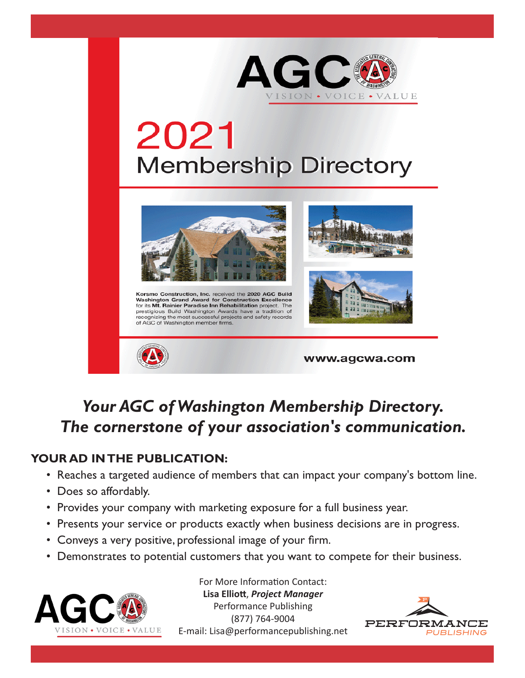

# 2021 **Membership Directory**



Korsmo Construction, Inc. received the 2020 AGC Build Washington Grand Award for Construction Excellence<br>for its Mt. Rainier Paradise Inn Rehabilitation project. The For the main control of the prestigious Build Washington Awards have a tradition of recognizing the most successful projects and safety records of AGC of Washington member firms.





www.agcwa.com

### *Your AGC of Washington Membership Directory. The cornerstone of your association's communication.*

### **YOUR AD IN THE PUBLICATION:**

- Reaches a targeted audience of members that can impact your company's bottom line.
- Does so affordably.
- Provides your company with marketing exposure for a full business year.
- Presents your service or products exactly when business decisions are in progress.
- Conveys a very positive, professional image of your firm.
- Demonstrates to potential customers that you want to compete for their business.



For More Information Contact: **Lisa Elliott**, *Project Manager* Performance Publishing (877) 764-9004 E-mail: Lisa@performancepublishing.net

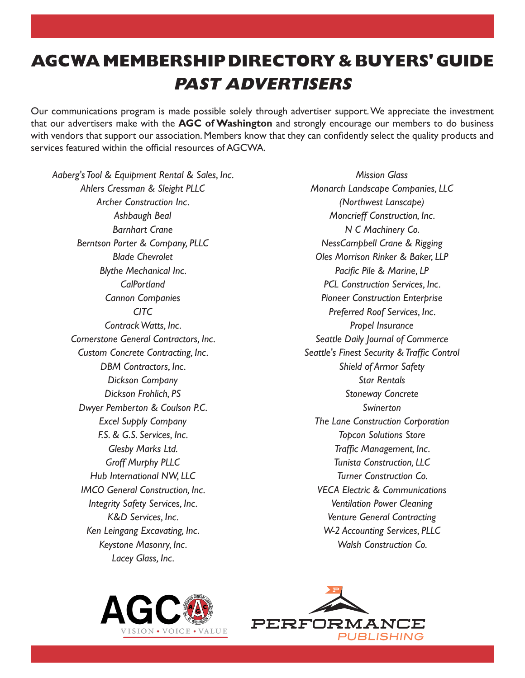## **AGCWA MEMBERSHIP DIRECTORY & BUYERS' GUIDE PAST ADVERTISERS**

Our communications program is made possible solely through advertiser support. We appreciate the investment that our advertisers make with the **AGC of Washington** and strongly encourage our members to do business with vendors that support our association. Members know that they can confidently select the quality products and services featured within the official resources of AGCWA.

*Aaberg's Tool & Equipment Rental & Sales, Inc. Ahlers Cressman & Sleight PLLC Archer Construction Inc. Ashbaugh Beal Barnhart Crane Berntson Porter & Company, PLLC Blade Chevrolet Blythe Mechanical Inc. CalPortland Cannon Companies CITC Contrack Watts, Inc. Cornerstone General Contractors, Inc. Custom Concrete Contracting, Inc. DBM Contractors, Inc. Dickson Company Dickson Frohlich, PS Dwyer Pemberton & Coulson P.C. Excel Supply Company F.S. & G.S. Services, Inc. Glesby Marks Ltd. Groff Murphy PLLC Hub International NW, LLC IMCO General Construction, Inc. Integrity Safety Services, Inc. K&D Services, Inc. Ken Leingang Excavating, Inc. Keystone Masonry, Inc. Lacey Glass, Inc.*

*Mission Glass Monarch Landscape Companies, LLC (Northwest Lanscape) Moncrieff Construction, Inc. N C Machinery Co. NessCampbell Crane & Rigging Oles Morrison Rinker & Baker, LLP Pacific Pile & Marine, LP PCL Construction Services, Inc. Pioneer Construction Enterprise Preferred Roof Services, Inc. Propel Insurance Seattle Daily Journal of Commerce Seattle's Finest Security & Traffic Control Shield of Armor Safety Star Rentals Stoneway Concrete Swinerton The Lane Construction Corporation Topcon Solutions Store Traffic Management, Inc. Tunista Construction, LLC Turner Construction Co. VECA Electric & Communications Ventilation Power Cleaning Venture General Contracting W-2 Accounting Services, PLLC Walsh Construction Co.*